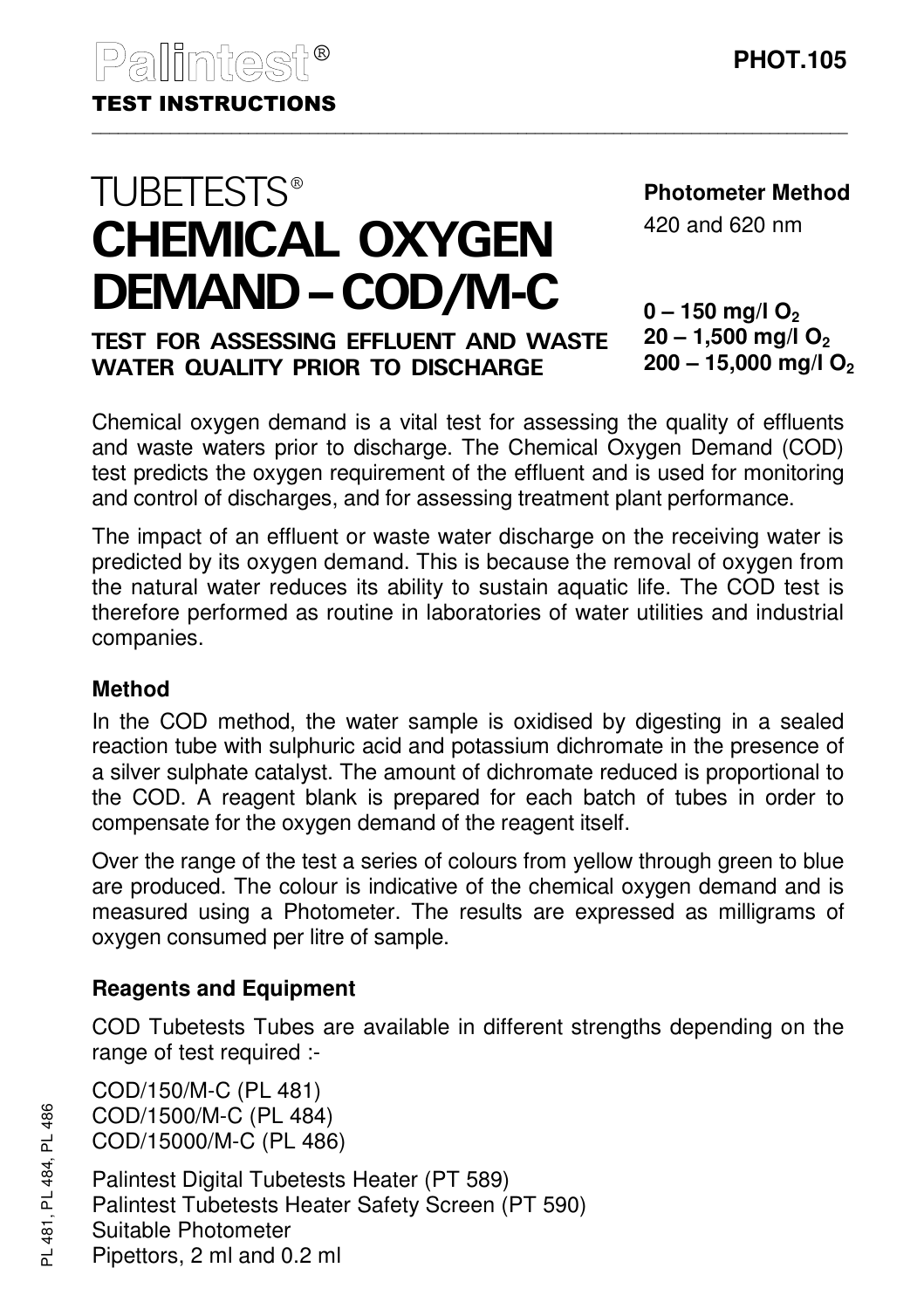# **TUBETESTS®** CHEMICAL OXYGEN DEMAND–COD/M-C

TEST FOR ASSESSING EFFLUENT AND WASTE WATER QUALITY PRIOR TO DISCHARGE

**Photometer Method**

420 and 620 nm

#### **0 – 150 mg/l O<sup>2</sup> 20 – 1,500 mg/l O<sup>2</sup> 200 – 15,000 mg/l O<sup>2</sup>**

Chemical oxygen demand is a vital test for assessing the quality of effluents and waste waters prior to discharge. The Chemical Oxygen Demand (COD) test predicts the oxygen requirement of the effluent and is used for monitoring and control of discharges, and for assessing treatment plant performance.

The impact of an effluent or waste water discharge on the receiving water is predicted by its oxygen demand. This is because the removal of oxygen from the natural water reduces its ability to sustain aquatic life. The COD test is therefore performed as routine in laboratories of water utilities and industrial companies.

## **Method**

In the COD method, the water sample is oxidised by digesting in a sealed reaction tube with sulphuric acid and potassium dichromate in the presence of a silver sulphate catalyst. The amount of dichromate reduced is proportional to the COD. A reagent blank is prepared for each batch of tubes in order to compensate for the oxygen demand of the reagent itself.

Over the range of the test a series of colours from yellow through green to blue are produced. The colour is indicative of the chemical oxygen demand and is measured using a Photometer. The results are expressed as milligrams of oxygen consumed per litre of sample.

## **Reagents and Equipment**

COD Tubetests Tubes are available in different strengths depending on the range of test required :-

COD/150/M-C (PL 481) COD/1500/M-C (PL 484) COD/15000/M-C (PL 486)

Palintest Digital Tubetests Heater (PT 589) Palintest Tubetests Heater Safety Screen (PT 590) Suitable Photometer Pipettors, 2 ml and 0.2 ml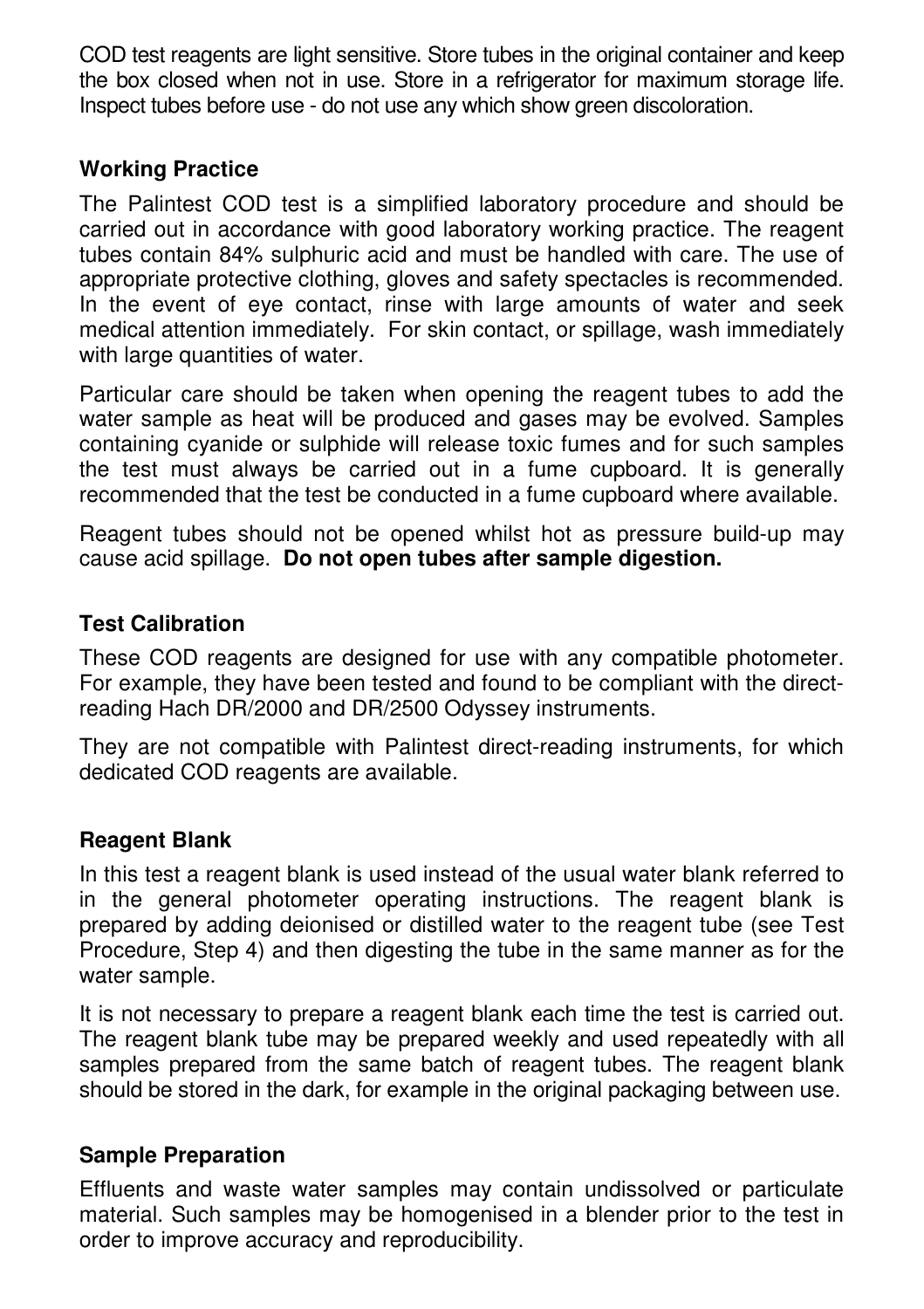COD test reagents are light sensitive. Store tubes in the original container and keep the box closed when not in use. Store in a refrigerator for maximum storage life. Inspect tubes before use - do not use any which show green discoloration.

#### **Working Practice**

The Palintest COD test is a simplified laboratory procedure and should be carried out in accordance with good laboratory working practice. The reagent tubes contain 84% sulphuric acid and must be handled with care. The use of appropriate protective clothing, gloves and safety spectacles is recommended. In the event of eye contact, rinse with large amounts of water and seek medical attention immediately. For skin contact, or spillage, wash immediately with large quantities of water.

Particular care should be taken when opening the reagent tubes to add the water sample as heat will be produced and gases may be evolved. Samples containing cyanide or sulphide will release toxic fumes and for such samples the test must always be carried out in a fume cupboard. It is generally recommended that the test be conducted in a fume cupboard where available.

Reagent tubes should not be opened whilst hot as pressure build-up may cause acid spillage. **Do not open tubes after sample digestion.**

### **Test Calibration**

These COD reagents are designed for use with any compatible photometer. For example, they have been tested and found to be compliant with the directreading Hach DR/2000 and DR/2500 Odyssey instruments.

They are not compatible with Palintest direct-reading instruments, for which dedicated COD reagents are available.

## **Reagent Blank**

In this test a reagent blank is used instead of the usual water blank referred to in the general photometer operating instructions. The reagent blank is prepared by adding deionised or distilled water to the reagent tube (see Test Procedure, Step 4) and then digesting the tube in the same manner as for the water sample.

It is not necessary to prepare a reagent blank each time the test is carried out. The reagent blank tube may be prepared weekly and used repeatedly with all samples prepared from the same batch of reagent tubes. The reagent blank should be stored in the dark, for example in the original packaging between use.

#### **Sample Preparation**

Effluents and waste water samples may contain undissolved or particulate material. Such samples may be homogenised in a blender prior to the test in order to improve accuracy and reproducibility.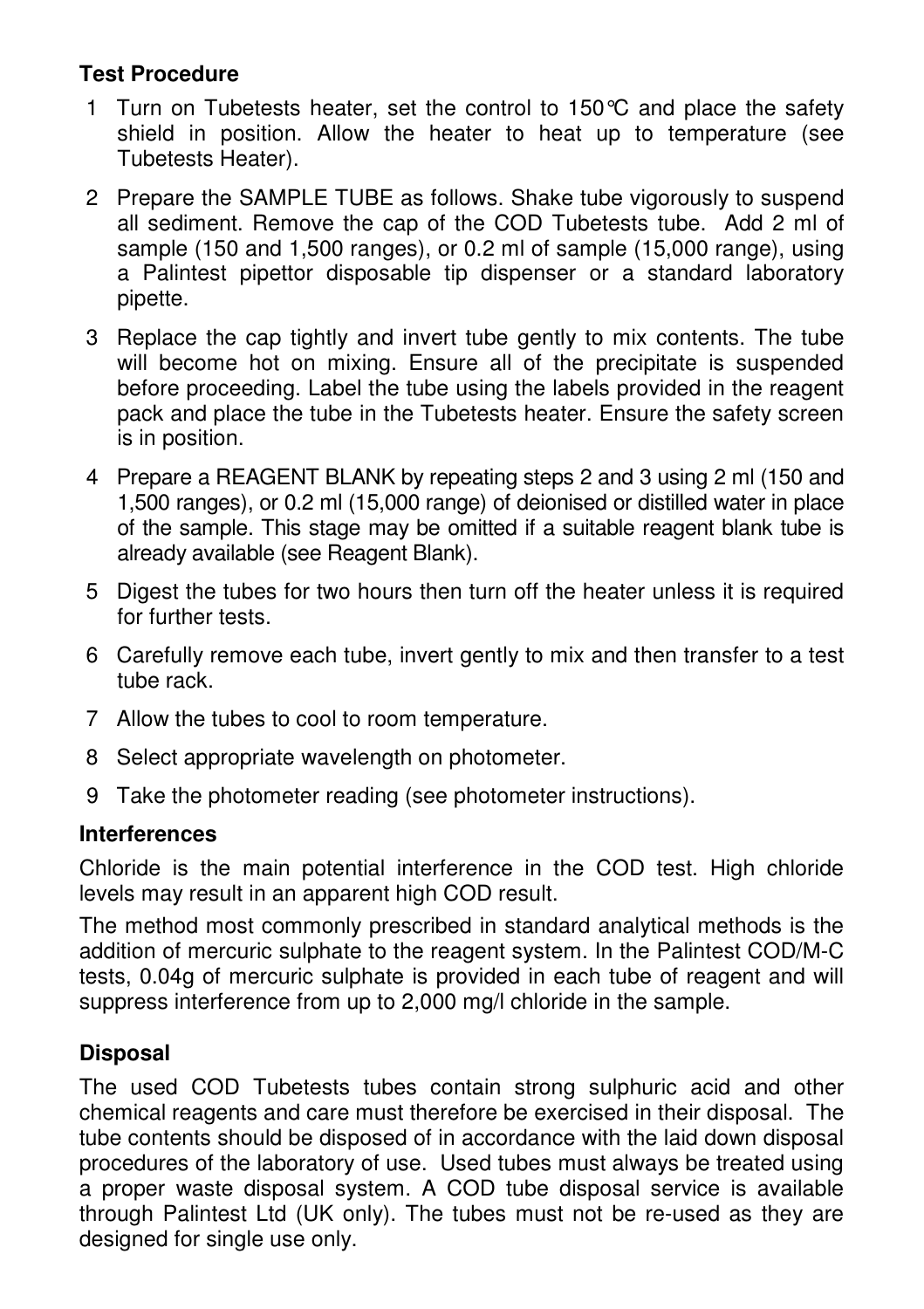## **Test Procedure**

- 1 Turn on Tubetests heater, set the control to 150 °C and place the safety shield in position. Allow the heater to heat up to temperature (see Tubetests Heater).
- 2 Prepare the SAMPLE TUBE as follows. Shake tube vigorously to suspend all sediment. Remove the cap of the COD Tubetests tube. Add 2 ml of sample (150 and 1,500 ranges), or 0.2 ml of sample (15,000 range), using a Palintest pipettor disposable tip dispenser or a standard laboratory pipette.
- 3 Replace the cap tightly and invert tube gently to mix contents. The tube will become hot on mixing. Ensure all of the precipitate is suspended before proceeding. Label the tube using the labels provided in the reagent pack and place the tube in the Tubetests heater. Ensure the safety screen is in position.
- 4 Prepare a REAGENT BLANK by repeating steps 2 and 3 using 2 ml (150 and 1,500 ranges), or 0.2 ml (15,000 range) of deionised or distilled water in place of the sample. This stage may be omitted if a suitable reagent blank tube is already available (see Reagent Blank).
- 5 Digest the tubes for two hours then turn off the heater unless it is required for further tests.
- 6 Carefully remove each tube, invert gently to mix and then transfer to a test tube rack.
- 7 Allow the tubes to cool to room temperature.
- 8 Select appropriate wavelength on photometer.
- 9 Take the photometer reading (see photometer instructions).

#### **Interferences**

Chloride is the main potential interference in the COD test. High chloride levels may result in an apparent high COD result.

The method most commonly prescribed in standard analytical methods is the addition of mercuric sulphate to the reagent system. In the Palintest COD/M-C tests, 0.04g of mercuric sulphate is provided in each tube of reagent and will suppress interference from up to 2,000 mg/l chloride in the sample.

## **Disposal**

The used COD Tubetests tubes contain strong sulphuric acid and other chemical reagents and care must therefore be exercised in their disposal. The tube contents should be disposed of in accordance with the laid down disposal procedures of the laboratory of use. Used tubes must always be treated using a proper waste disposal system. A COD tube disposal service is available through Palintest Ltd (UK only). The tubes must not be re-used as they are designed for single use only.